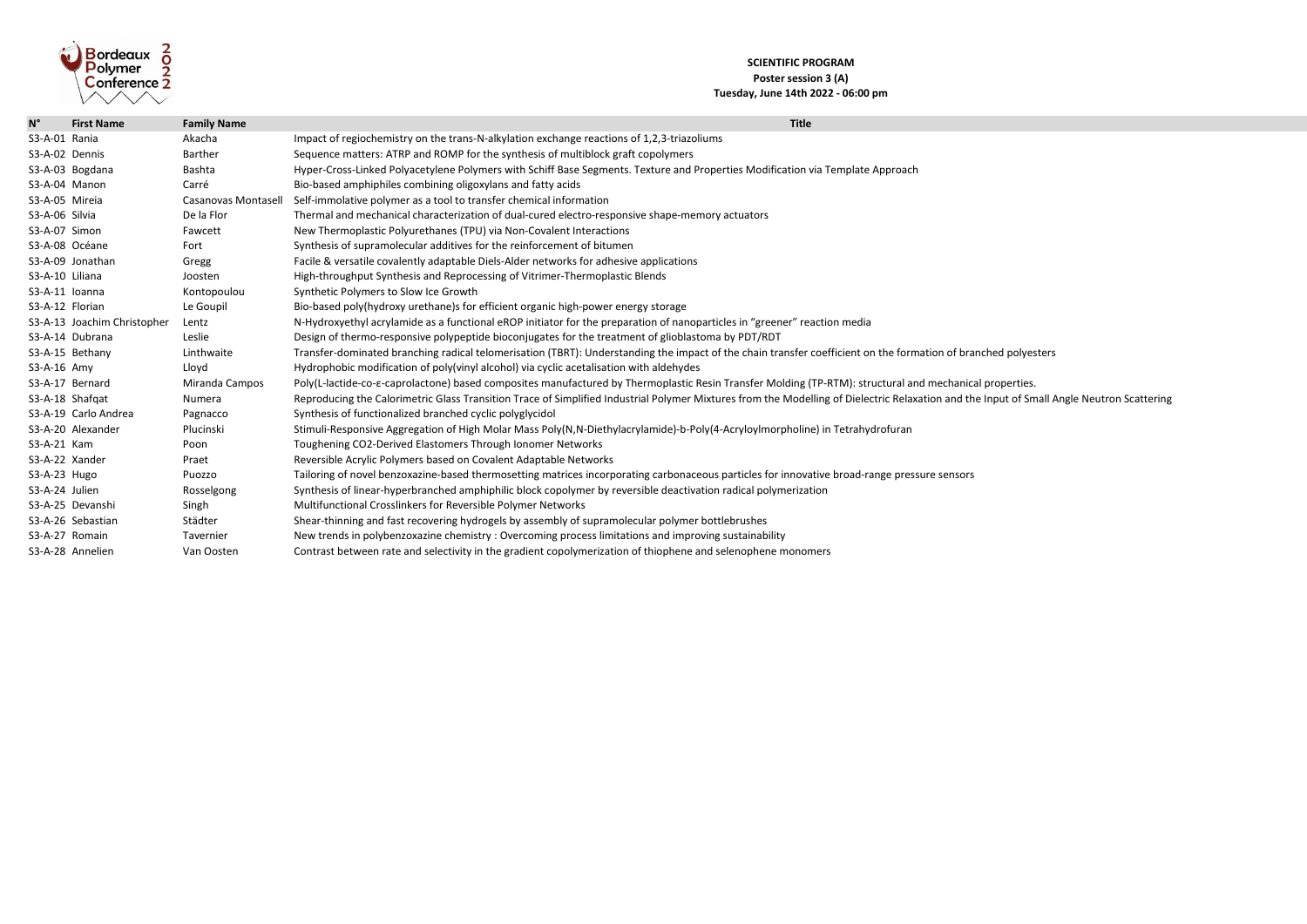## **SCIENTIFIC PROGRAM Poster session 3 (A) Tuesday, June 14th 2022 - 06:00 pm**



| $N^{\circ}$     | <b>First Name</b>           | <b>Family Name</b>         | <b>Title</b>                                                                                                                         |
|-----------------|-----------------------------|----------------------------|--------------------------------------------------------------------------------------------------------------------------------------|
| S3-A-01 Rania   |                             | Akacha                     | Impact of regiochemistry on the trans-N-alkylation exchange reactions of 1,2,3-triazoliums                                           |
|                 | S3-A-02 Dennis              | <b>Barther</b>             | Sequence matters: ATRP and ROMP for the synthesis of multiblock graft copolymers                                                     |
|                 | S3-A-03 Bogdana             | <b>Bashta</b>              | Hyper-Cross-Linked Polyacetylene Polymers with Schiff Base Segments. Texture and Properties Modification via Template Approach       |
|                 | S3-A-04 Manon               | Carré                      | Bio-based amphiphiles combining oligoxylans and fatty acids                                                                          |
|                 | S3-A-05 Mireia              | <b>Casanovas Montasell</b> | Self-immolative polymer as a tool to transfer chemical information                                                                   |
| S3-A-06 Silvia  |                             | De la Flor                 | Thermal and mechanical characterization of dual-cured electro-responsive shape-memory actuators                                      |
| S3-A-07 Simon   |                             | Fawcett                    | New Thermoplastic Polyurethanes (TPU) via Non-Covalent Interactions                                                                  |
|                 | S3-A-08 Océane              | Fort                       | Synthesis of supramolecular additives for the reinforcement of bitumen                                                               |
|                 | S3-A-09 Jonathan            |                            |                                                                                                                                      |
|                 |                             | Gregg                      | Facile & versatile covalently adaptable Diels-Alder networks for adhesive applications                                               |
| S3-A-10 Liliana |                             | Joosten                    | High-throughput Synthesis and Reprocessing of Vitrimer-Thermoplastic Blends                                                          |
|                 | S3-A-11 Ioanna              | Kontopoulou                | Synthetic Polymers to Slow Ice Growth                                                                                                |
|                 | S3-A-12 Florian             | Le Goupil                  | Bio-based poly(hydroxy urethane)s for efficient organic high-power energy storage                                                    |
|                 | S3-A-13 Joachim Christopher | Lentz                      | N-Hydroxyethyl acrylamide as a functional eROP initiator for the preparation of nanoparticles in "greener" reaction media            |
|                 | S3-A-14 Dubrana             | Leslie                     | Design of thermo-responsive polypeptide bioconjugates for the treatment of glioblastoma by PDT/RDT                                   |
|                 | S3-A-15 Bethany             | Linthwaite                 | Transfer-dominated branching radical telomerisation (TBRT): Understanding the impact of the chain transfer coefficient on the form   |
| S3-A-16 Amy     |                             | Lloyd                      | Hydrophobic modification of poly(vinyl alcohol) via cyclic acetalisation with aldehydes                                              |
|                 | S3-A-17 Bernard             | Miranda Campos             | Poly(L-lactide-co-e-caprolactone) based composites manufactured by Thermoplastic Resin Transfer Molding (TP-RTM): structural ar      |
|                 | S3-A-18 Shafqat             | Numera                     | Reproducing the Calorimetric Glass Transition Trace of Simplified Industrial Polymer Mixtures from the Modelling of Dielectric Relax |
|                 | S3-A-19 Carlo Andrea        | Pagnacco                   | Synthesis of functionalized branched cyclic polyglycidol                                                                             |
|                 | S3-A-20 Alexander           | Plucinski                  | Stimuli-Responsive Aggregation of High Molar Mass Poly(N,N-Diethylacrylamide)-b-Poly(4-Acryloylmorpholine) in Tetrahydrofuran        |
| S3-A-21 Kam     |                             | Poon                       | Toughening CO2-Derived Elastomers Through Ionomer Networks                                                                           |
|                 | S3-A-22 Xander              | Praet                      | Reversible Acrylic Polymers based on Covalent Adaptable Networks                                                                     |
| S3-A-23 Hugo    |                             | Puozzo                     | Tailoring of novel benzoxazine-based thermosetting matrices incorporating carbonaceous particles for innovative broad-range press    |
| S3-A-24 Julien  |                             | Rosselgong                 | Synthesis of linear-hyperbranched amphiphilic block copolymer by reversible deactivation radical polymerization                      |
|                 | S3-A-25 Devanshi            | Singh                      | Multifunctional Crosslinkers for Reversible Polymer Networks                                                                         |
|                 | S3-A-26 Sebastian           | Städter                    | Shear-thinning and fast recovering hydrogels by assembly of supramolecular polymer bottlebrushes                                     |
|                 | S3-A-27 Romain              | Tavernier                  | New trends in polybenzoxazine chemistry: Overcoming process limitations and improving sustainability                                 |
|                 | S3-A-28 Annelien            | Van Oosten                 | Contrast between rate and selectivity in the gradient copolymerization of thiophene and selenophene monomers                         |

the formation of branched polyesters

ctural and mechanical properties. ric Relaxation and the Input of Small Angle Neutron Scattering

nge pressure sensors